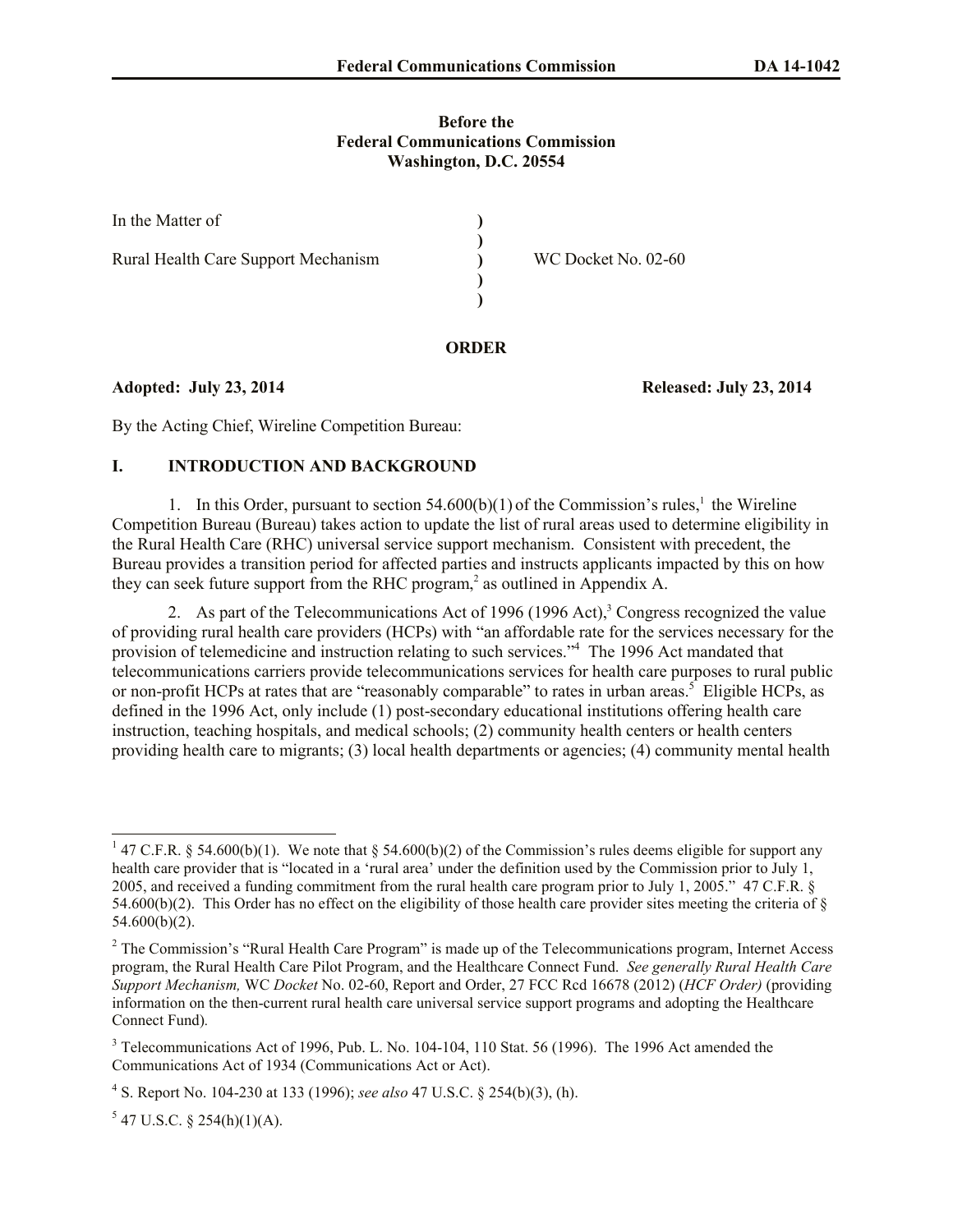#### **Before the Federal Communications Commission Washington, D.C. 20554**

| In the Matter of                    |                     |
|-------------------------------------|---------------------|
| Rural Health Care Support Mechanism | WC Docket No. 02-60 |
|                                     |                     |

## **ORDER**

## **Adopted: July 23, 2014 Released: July 23, 2014**

By the Acting Chief, Wireline Competition Bureau:

# **I. INTRODUCTION AND BACKGROUND**

1. In this Order, pursuant to section  $54.600(b)(1)$  of the Commission's rules,<sup>1</sup> the Wireline Competition Bureau (Bureau) takes action to update the list of rural areas used to determine eligibility in the Rural Health Care (RHC) universal service support mechanism. Consistent with precedent, the Bureau provides a transition period for affected parties and instructs applicants impacted by this on how they can seek future support from the RHC program, 2 as outlined in Appendix A.

2. As part of the Telecommunications Act of 1996 (1996 Act), $3$  Congress recognized the value of providing rural health care providers (HCPs) with "an affordable rate for the services necessary for the provision of telemedicine and instruction relating to such services."<sup>4</sup> The 1996 Act mandated that telecommunications carriers provide telecommunications services for health care purposes to rural public or non-profit HCPs at rates that are "reasonably comparable" to rates in urban areas.<sup>5</sup> Eligible HCPs, as defined in the 1996 Act, only include (1) post-secondary educational institutions offering health care instruction, teaching hospitals, and medical schools; (2) community health centers or health centers providing health care to migrants; (3) local health departments or agencies; (4) community mental health

 $\overline{a}$ <sup>1</sup> 47 C.F.R. § 54.600(b)(1). We note that § 54.600(b)(2) of the Commission's rules deems eligible for support any health care provider that is "located in a 'rural area' under the definition used by the Commission prior to July 1, 2005, and received a funding commitment from the rural health care program prior to July 1, 2005." 47 C.F.R. § 54.600(b)(2). This Order has no effect on the eligibility of those health care provider sites meeting the criteria of  $\S$ 54.600(b)(2).

<sup>&</sup>lt;sup>2</sup> The Commission's "Rural Health Care Program" is made up of the Telecommunications program, Internet Access program, the Rural Health Care Pilot Program, and the Healthcare Connect Fund. *See generally Rural Health Care Support Mechanism,* WC *Docket* No. 02-60, Report and Order, 27 FCC Rcd 16678 (2012) (*HCF Order)* (providing information on the then-current rural health care universal service support programs and adopting the Healthcare Connect Fund)*.* 

<sup>&</sup>lt;sup>3</sup> Telecommunications Act of 1996, Pub. L. No. 104-104, 110 Stat. 56 (1996). The 1996 Act amended the Communications Act of 1934 (Communications Act or Act).

<sup>4</sup> S. Report No. 104-230 at 133 (1996); *see also* 47 U.S.C. § 254(b)(3), (h).

 $5$  47 U.S.C. § 254(h)(1)(A).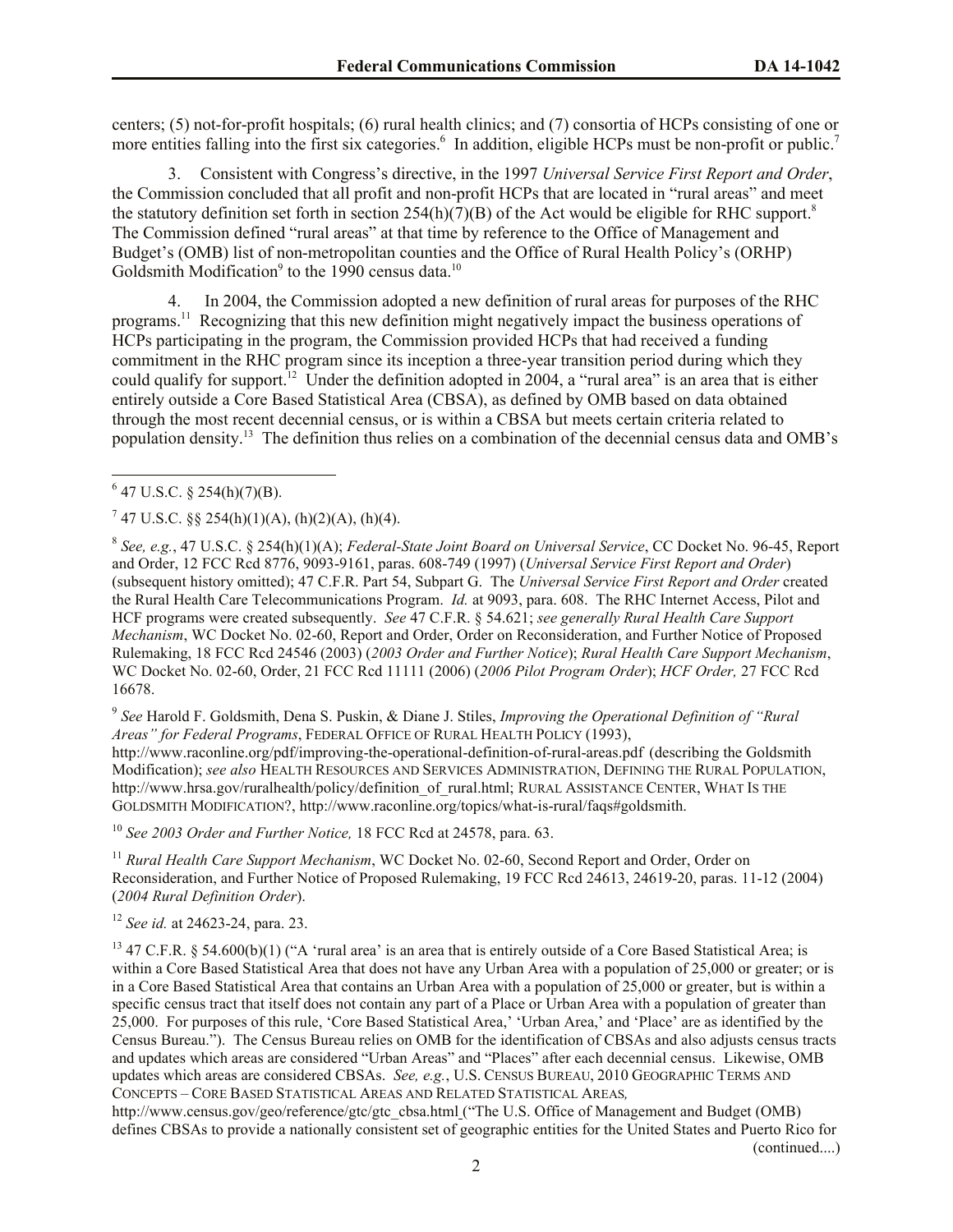centers; (5) not-for-profit hospitals; (6) rural health clinics; and (7) consortia of HCPs consisting of one or more entities falling into the first six categories.<sup>6</sup> In addition, eligible HCPs must be non-profit or public.<sup>7</sup>

3. Consistent with Congress's directive, in the 1997 *Universal Service First Report and Order*, the Commission concluded that all profit and non-profit HCPs that are located in "rural areas" and meet the statutory definition set forth in section  $254(h)(7)(B)$  of the Act would be eligible for RHC support.<sup>8</sup> The Commission defined "rural areas" at that time by reference to the Office of Management and Budget's (OMB) list of non-metropolitan counties and the Office of Rural Health Policy's (ORHP) Goldsmith Modification<sup>9</sup> to the 1990 census data.<sup>10</sup>

4. In 2004, the Commission adopted a new definition of rural areas for purposes of the RHC programs.<sup>11</sup> Recognizing that this new definition might negatively impact the business operations of HCPs participating in the program, the Commission provided HCPs that had received a funding commitment in the RHC program since its inception a three-year transition period during which they could qualify for support.<sup>12</sup> Under the definition adopted in 2004, a "rural area" is an area that is either entirely outside a Core Based Statistical Area (CBSA), as defined by OMB based on data obtained through the most recent decennial census, or is within a CBSA but meets certain criteria related to population density.<sup>13</sup> The definition thus relies on a combination of the decennial census data and OMB's

 $7$  47 U.S.C. §§ 254(h)(1)(A), (h)(2)(A), (h)(4).

9 *See* Harold F. Goldsmith, Dena S. Puskin, & Diane J. Stiles, *Improving the Operational Definition of "Rural Areas" for Federal Programs*, FEDERAL OFFICE OF RURAL HEALTH POLICY (1993), http://www.raconline.org/pdf/improving-the-operational-definition-of-rural-areas.pdf (describing the Goldsmith Modification); *see also* HEALTH RESOURCES AND SERVICES ADMINISTRATION, DEFINING THE RURAL POPULATION, http://www.hrsa.gov/ruralhealth/policy/definition\_of\_rural.html; RURAL ASSISTANCE CENTER, WHAT IS THE GOLDSMITH MODIFICATION?, http://www.raconline.org/topics/what-is-rural/faqs#goldsmith.

<sup>10</sup> *See 2003 Order and Further Notice,* 18 FCC Rcd at 24578, para. 63.

<sup>11</sup> *Rural Health Care Support Mechanism*, WC Docket No. 02-60, Second Report and Order, Order on Reconsideration, and Further Notice of Proposed Rulemaking, 19 FCC Rcd 24613, 24619-20, paras. 11-12 (2004) (*2004 Rural Definition Order*).

<sup>12</sup> *See id.* at 24623-24, para. 23.

<sup>13</sup> 47 C.F.R. § 54.600(b)(1) ("A 'rural area' is an area that is entirely outside of a Core Based Statistical Area; is within a Core Based Statistical Area that does not have any Urban Area with a population of 25,000 or greater; or is in a Core Based Statistical Area that contains an Urban Area with a population of 25,000 or greater, but is within a specific census tract that itself does not contain any part of a Place or Urban Area with a population of greater than 25,000. For purposes of this rule, 'Core Based Statistical Area,' 'Urban Area,' and 'Place' are as identified by the Census Bureau."). The Census Bureau relies on OMB for the identification of CBSAs and also adjusts census tracts and updates which areas are considered "Urban Areas" and "Places" after each decennial census. Likewise, OMB updates which areas are considered CBSAs. *See, e.g.*, U.S. CENSUS BUREAU, 2010 GEOGRAPHIC TERMS AND CONCEPTS – CORE BASED STATISTICAL AREAS AND RELATED STATISTICAL AREAS*,* 

http://www.census.gov/geo/reference/gtc/gtc\_cbsa.html ("The U.S. Office of Management and Budget (OMB) defines CBSAs to provide a nationally consistent set of geographic entities for the United States and Puerto Rico for (continued....)

 $\overline{\phantom{a}}$  $6$  47 U.S.C. § 254(h)(7)(B).

<sup>8</sup> *See, e.g.*, 47 U.S.C. § 254(h)(1)(A); *Federal-State Joint Board on Universal Service*, CC Docket No. 96-45, Report and Order, 12 FCC Rcd 8776, 9093-9161, paras. 608-749 (1997) (*Universal Service First Report and Order*) (subsequent history omitted); 47 C.F.R. Part 54, Subpart G. The *Universal Service First Report and Order* created the Rural Health Care Telecommunications Program. *Id.* at 9093, para. 608. The RHC Internet Access, Pilot and HCF programs were created subsequently. *See* 47 C.F.R. § 54.621; *see generally Rural Health Care Support Mechanism*, WC Docket No. 02-60, Report and Order, Order on Reconsideration, and Further Notice of Proposed Rulemaking, 18 FCC Rcd 24546 (2003) (*2003 Order and Further Notice*); *Rural Health Care Support Mechanism*, WC Docket No. 02-60, Order, 21 FCC Rcd 11111 (2006) (*2006 Pilot Program Order*); *HCF Order,* 27 FCC Rcd 16678.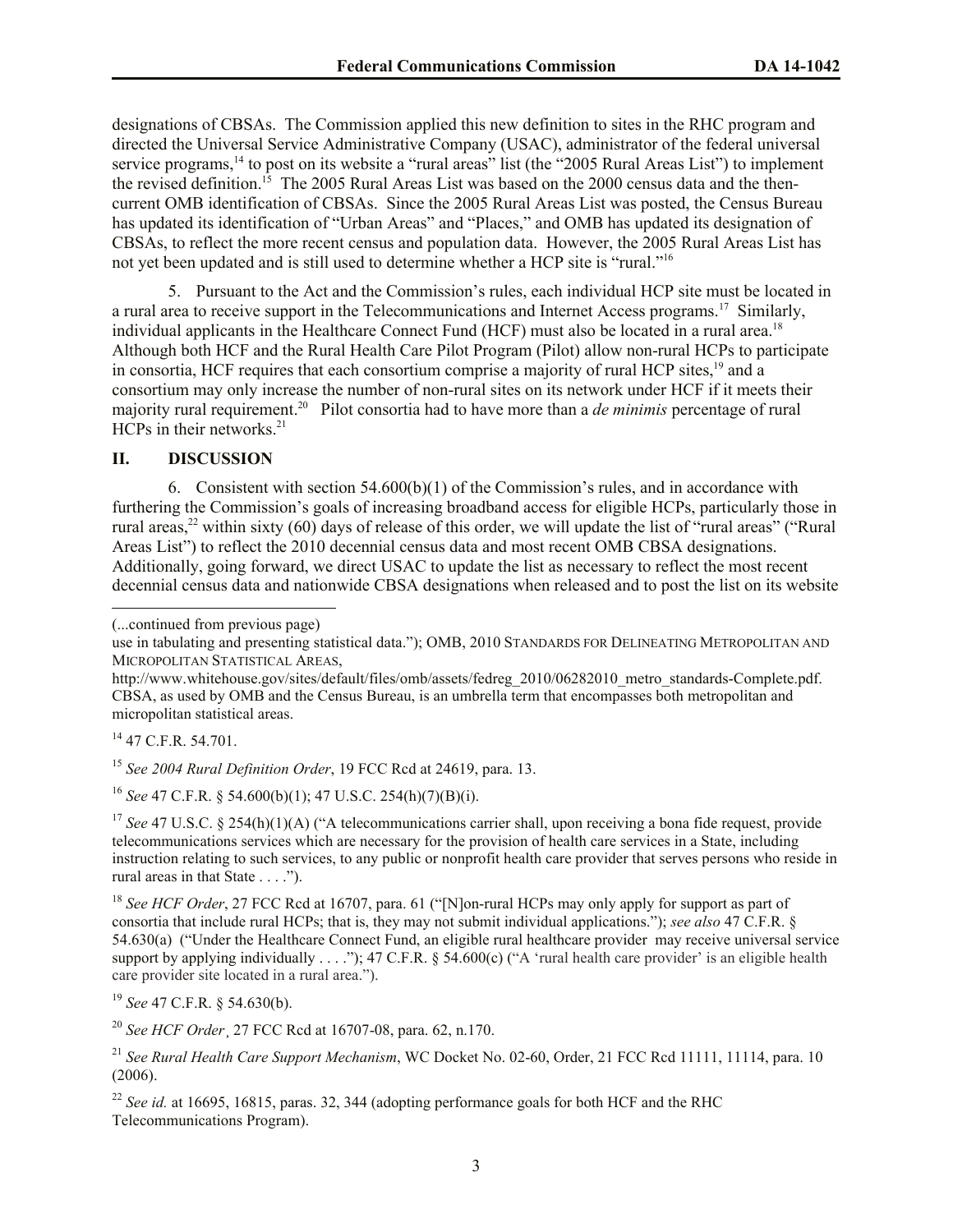designations of CBSAs. The Commission applied this new definition to sites in the RHC program and directed the Universal Service Administrative Company (USAC), administrator of the federal universal service programs,<sup>14</sup> to post on its website a "rural areas" list (the "2005 Rural Areas List") to implement the revised definition.<sup>15</sup> The 2005 Rural Areas List was based on the 2000 census data and the thencurrent OMB identification of CBSAs. Since the 2005 Rural Areas List was posted, the Census Bureau has updated its identification of "Urban Areas" and "Places," and OMB has updated its designation of CBSAs, to reflect the more recent census and population data. However, the 2005 Rural Areas List has not yet been updated and is still used to determine whether a HCP site is "rural."<sup>16</sup>

5. Pursuant to the Act and the Commission's rules, each individual HCP site must be located in a rural area to receive support in the Telecommunications and Internet Access programs.<sup>17</sup> Similarly, individual applicants in the Healthcare Connect Fund (HCF) must also be located in a rural area. 18 Although both HCF and the Rural Health Care Pilot Program (Pilot) allow non-rural HCPs to participate in consortia, HCF requires that each consortium comprise a majority of rural HCP sites,<sup>19</sup> and a consortium may only increase the number of non-rural sites on its network under HCF if it meets their majority rural requirement. <sup>20</sup> Pilot consortia had to have more than a *de minimis* percentage of rural HCPs in their networks. 21

# **II. DISCUSSION**

6. Consistent with section  $54.600(b)(1)$  of the Commission's rules, and in accordance with furthering the Commission's goals of increasing broadband access for eligible HCPs, particularly those in rural areas,<sup>22</sup> within sixty (60) days of release of this order, we will update the list of "rural areas" ("Rural Areas List") to reflect the 2010 decennial census data and most recent OMB CBSA designations. Additionally, going forward, we direct USAC to update the list as necessary to reflect the most recent decennial census data and nationwide CBSA designations when released and to post the list on its website

(...continued from previous page)

 $14$  47 C.F.R. 54.701.

 $\overline{\phantom{a}}$ 

<sup>15</sup> *See 2004 Rural Definition Order*, 19 FCC Rcd at 24619, para. 13.

<sup>16</sup> *See* 47 C.F.R. § 54.600(b)(1); 47 U.S.C. 254(h)(7)(B)(i).

<sup>17</sup> *See* 47 U.S.C. § 254(h)(1)(A) ("A telecommunications carrier shall, upon receiving a bona fide request, provide telecommunications services which are necessary for the provision of health care services in a State, including instruction relating to such services, to any public or nonprofit health care provider that serves persons who reside in rural areas in that State . . . .").

<sup>18</sup> See HCF Order, 27 FCC Rcd at 16707, para. 61 ("[N]on-rural HCPs may only apply for support as part of consortia that include rural HCPs; that is, they may not submit individual applications."); *see also* 47 C.F.R. § 54.630(a) ("Under the Healthcare Connect Fund, an eligible rural healthcare provider may receive universal service support by applying individually . . . ."); 47 C.F.R. § 54.600(c) ("A 'rural health care provider' is an eligible health care provider site located in a rural area.").

<sup>19</sup> *See* 47 C.F.R. § 54.630(b).

<sup>20</sup> *See HCF Order*¸ 27 FCC Rcd at 16707-08, para. 62, n.170.

use in tabulating and presenting statistical data."); OMB, 2010 STANDARDS FOR DELINEATING METROPOLITAN AND MICROPOLITAN STATISTICAL AREAS,

http://www.whitehouse.gov/sites/default/files/omb/assets/fedreg\_2010/06282010\_metro\_standards-Complete.pdf. CBSA, as used by OMB and the Census Bureau, is an umbrella term that encompasses both metropolitan and micropolitan statistical areas.

<sup>21</sup> *See Rural Health Care Support Mechanism*, WC Docket No. 02-60, Order, 21 FCC Rcd 11111, 11114, para. 10 (2006).

<sup>22</sup> *See id.* at 16695, 16815, paras. 32, 344 (adopting performance goals for both HCF and the RHC Telecommunications Program).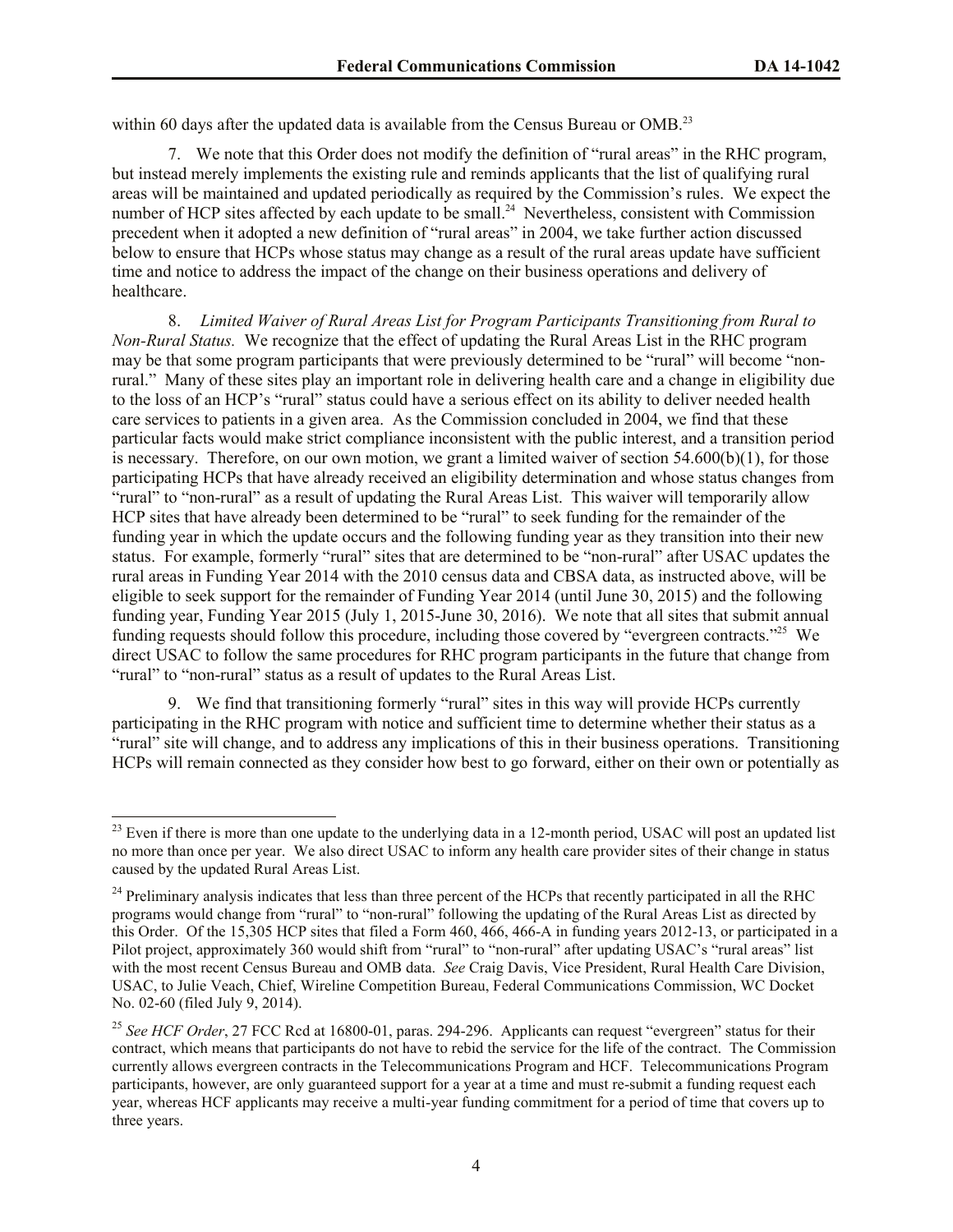within 60 days after the updated data is available from the Census Bureau or OMB.<sup>23</sup>

7. We note that this Order does not modify the definition of "rural areas" in the RHC program, but instead merely implements the existing rule and reminds applicants that the list of qualifying rural areas will be maintained and updated periodically as required by the Commission's rules. We expect the number of HCP sites affected by each update to be small.<sup>24</sup> Nevertheless, consistent with Commission precedent when it adopted a new definition of "rural areas" in 2004, we take further action discussed below to ensure that HCPs whose status may change as a result of the rural areas update have sufficient time and notice to address the impact of the change on their business operations and delivery of healthcare.

8. *Limited Waiver of Rural Areas List for Program Participants Transitioning from Rural to Non-Rural Status.* We recognize that the effect of updating the Rural Areas List in the RHC program may be that some program participants that were previously determined to be "rural" will become "nonrural." Many of these sites play an important role in delivering health care and a change in eligibility due to the loss of an HCP's "rural" status could have a serious effect on its ability to deliver needed health care services to patients in a given area. As the Commission concluded in 2004, we find that these particular facts would make strict compliance inconsistent with the public interest, and a transition period is necessary. Therefore, on our own motion, we grant a limited waiver of section  $54.600(b)(1)$ , for those participating HCPs that have already received an eligibility determination and whose status changes from "rural" to "non-rural" as a result of updating the Rural Areas List. This waiver will temporarily allow HCP sites that have already been determined to be "rural" to seek funding for the remainder of the funding year in which the update occurs and the following funding year as they transition into their new status. For example, formerly "rural" sites that are determined to be "non-rural" after USAC updates the rural areas in Funding Year 2014 with the 2010 census data and CBSA data, as instructed above, will be eligible to seek support for the remainder of Funding Year 2014 (until June 30, 2015) and the following funding year, Funding Year 2015 (July 1, 2015-June 30, 2016). We note that all sites that submit annual funding requests should follow this procedure, including those covered by "evergreen contracts."<sup>25</sup> We direct USAC to follow the same procedures for RHC program participants in the future that change from "rural" to "non-rural" status as a result of updates to the Rural Areas List.

9. We find that transitioning formerly "rural" sites in this way will provide HCPs currently participating in the RHC program with notice and sufficient time to determine whether their status as a "rural" site will change, and to address any implications of this in their business operations. Transitioning HCPs will remain connected as they consider how best to go forward, either on their own or potentially as

 $\overline{a}$ 

 $23$  Even if there is more than one update to the underlying data in a 12-month period, USAC will post an updated list no more than once per year. We also direct USAC to inform any health care provider sites of their change in status caused by the updated Rural Areas List.

 $^{24}$  Preliminary analysis indicates that less than three percent of the HCPs that recently participated in all the RHC programs would change from "rural" to "non-rural" following the updating of the Rural Areas List as directed by this Order. Of the 15,305 HCP sites that filed a Form 460, 466, 466-A in funding years 2012-13, or participated in a Pilot project, approximately 360 would shift from "rural" to "non-rural" after updating USAC's "rural areas" list with the most recent Census Bureau and OMB data. *See* Craig Davis, Vice President, Rural Health Care Division, USAC, to Julie Veach, Chief, Wireline Competition Bureau, Federal Communications Commission, WC Docket No. 02-60 (filed July 9, 2014).

<sup>&</sup>lt;sup>25</sup> See HCF Order, 27 FCC Rcd at 16800-01, paras. 294-296. Applicants can request "evergreen" status for their contract, which means that participants do not have to rebid the service for the life of the contract. The Commission currently allows evergreen contracts in the Telecommunications Program and HCF. Telecommunications Program participants, however, are only guaranteed support for a year at a time and must re-submit a funding request each year, whereas HCF applicants may receive a multi-year funding commitment for a period of time that covers up to three years.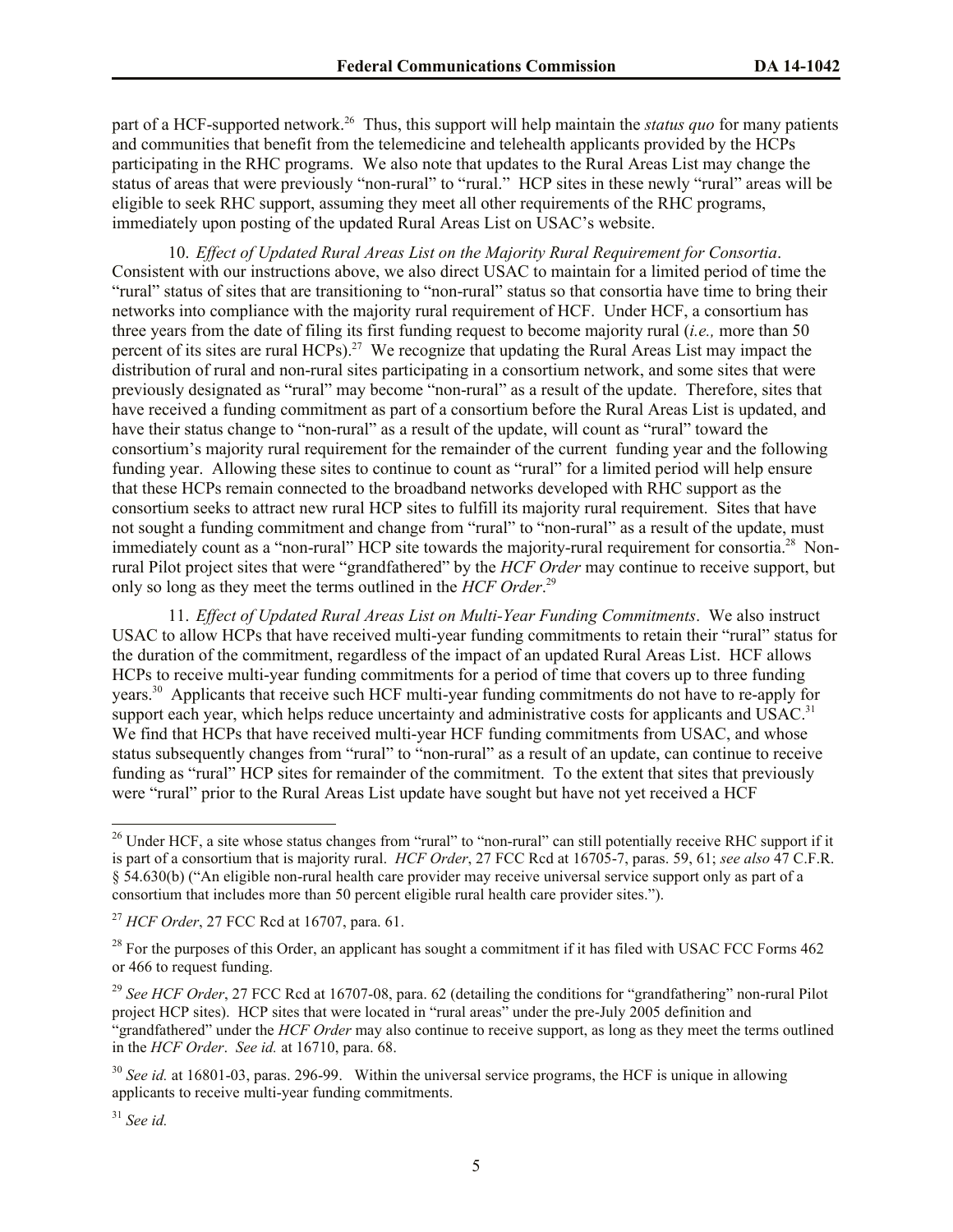part of a HCF-supported network.<sup>26</sup> Thus, this support will help maintain the *status quo* for many patients and communities that benefit from the telemedicine and telehealth applicants provided by the HCPs participating in the RHC programs. We also note that updates to the Rural Areas List may change the status of areas that were previously "non-rural" to "rural." HCP sites in these newly "rural" areas will be eligible to seek RHC support, assuming they meet all other requirements of the RHC programs, immediately upon posting of the updated Rural Areas List on USAC's website.

10. *Effect of Updated Rural Areas List on the Majority Rural Requirement for Consortia*. Consistent with our instructions above, we also direct USAC to maintain for a limited period of time the "rural" status of sites that are transitioning to "non-rural" status so that consortia have time to bring their networks into compliance with the majority rural requirement of HCF. Under HCF, a consortium has three years from the date of filing its first funding request to become majority rural (*i.e.,* more than 50 percent of its sites are rural HCPs).<sup>27</sup> We recognize that updating the Rural Areas List may impact the distribution of rural and non-rural sites participating in a consortium network, and some sites that were previously designated as "rural" may become "non-rural" as a result of the update. Therefore, sites that have received a funding commitment as part of a consortium before the Rural Areas List is updated, and have their status change to "non-rural" as a result of the update, will count as "rural" toward the consortium's majority rural requirement for the remainder of the current funding year and the following funding year. Allowing these sites to continue to count as "rural" for a limited period will help ensure that these HCPs remain connected to the broadband networks developed with RHC support as the consortium seeks to attract new rural HCP sites to fulfill its majority rural requirement. Sites that have not sought a funding commitment and change from "rural" to "non-rural" as a result of the update, must immediately count as a "non-rural" HCP site towards the majority-rural requirement for consortia.<sup>28</sup> Nonrural Pilot project sites that were "grandfathered" by the *HCF Order* may continue to receive support, but only so long as they meet the terms outlined in the *HCF Order*. 29

11. *Effect of Updated Rural Areas List on Multi-Year Funding Commitments*. We also instruct USAC to allow HCPs that have received multi-year funding commitments to retain their "rural" status for the duration of the commitment, regardless of the impact of an updated Rural Areas List. HCF allows HCPs to receive multi-year funding commitments for a period of time that covers up to three funding years.<sup>30</sup> Applicants that receive such HCF multi-year funding commitments do not have to re-apply for support each year, which helps reduce uncertainty and administrative costs for applicants and USAC.<sup>31</sup> We find that HCPs that have received multi-year HCF funding commitments from USAC, and whose status subsequently changes from "rural" to "non-rural" as a result of an update, can continue to receive funding as "rural" HCP sites for remainder of the commitment. To the extent that sites that previously were "rural" prior to the Rural Areas List update have sought but have not yet received a HCF

 $\overline{a}$ 

 $26$  Under HCF, a site whose status changes from "rural" to "non-rural" can still potentially receive RHC support if it is part of a consortium that is majority rural. *HCF Order*, 27 FCC Rcd at 16705-7, paras. 59, 61; *see also* 47 C.F.R. § 54.630(b) ("An eligible non-rural health care provider may receive universal service support only as part of a consortium that includes more than 50 percent eligible rural health care provider sites.").

<sup>27</sup> *HCF Order*, 27 FCC Rcd at 16707, para. 61.

 $^{28}$  For the purposes of this Order, an applicant has sought a commitment if it has filed with USAC FCC Forms 462 or 466 to request funding.

<sup>&</sup>lt;sup>29</sup> See HCF Order, 27 FCC Rcd at 16707-08, para. 62 (detailing the conditions for "grandfathering" non-rural Pilot project HCP sites). HCP sites that were located in "rural areas" under the pre-July 2005 definition and "grandfathered" under the *HCF Order* may also continue to receive support, as long as they meet the terms outlined in the *HCF Order*. *See id.* at 16710, para. 68.

<sup>&</sup>lt;sup>30</sup> *See id.* at 16801-03, paras. 296-99. Within the universal service programs, the HCF is unique in allowing applicants to receive multi-year funding commitments.

<sup>31</sup> *See id.*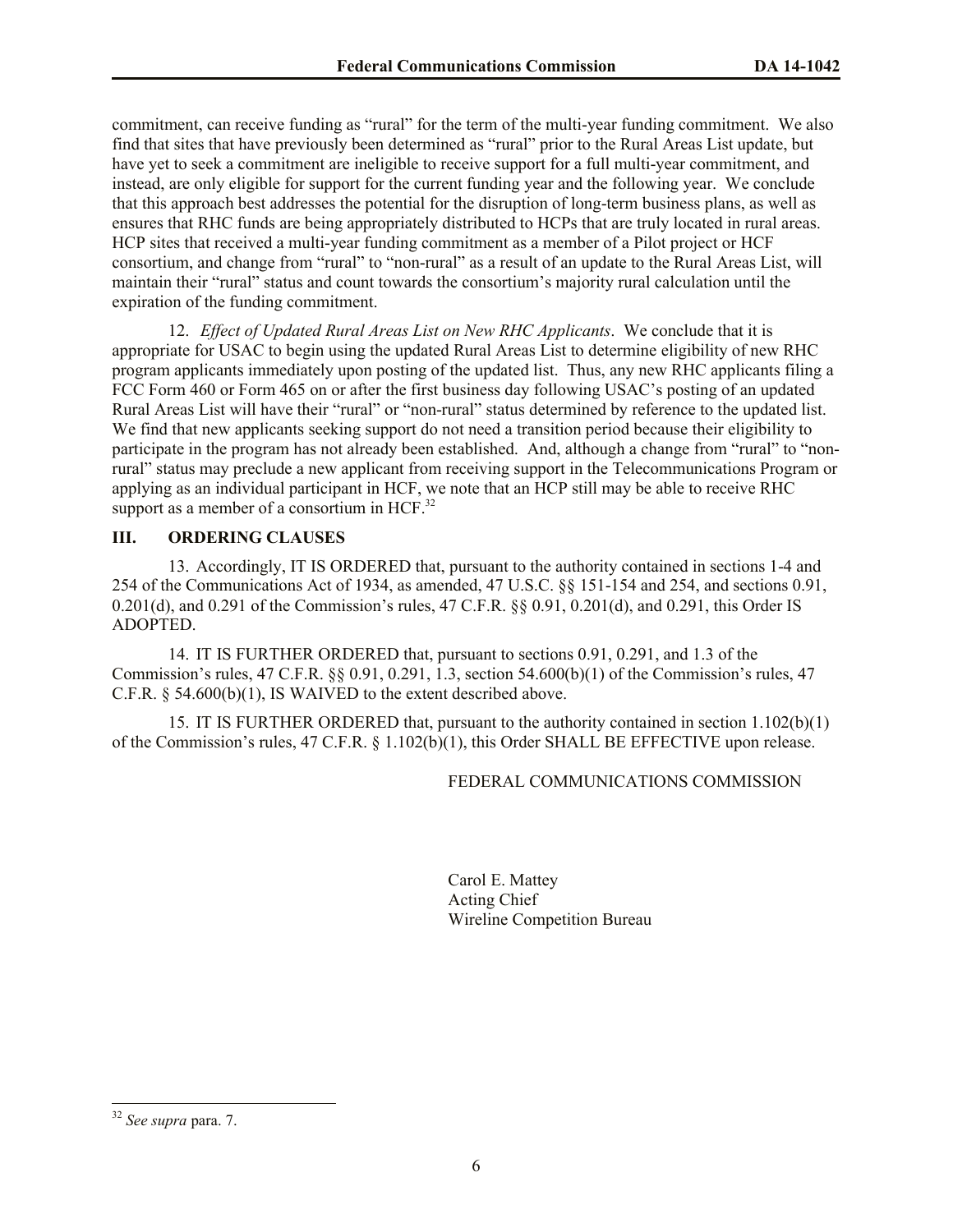commitment, can receive funding as "rural" for the term of the multi-year funding commitment. We also find that sites that have previously been determined as "rural" prior to the Rural Areas List update, but have yet to seek a commitment are ineligible to receive support for a full multi-year commitment, and instead, are only eligible for support for the current funding year and the following year. We conclude that this approach best addresses the potential for the disruption of long-term business plans, as well as ensures that RHC funds are being appropriately distributed to HCPs that are truly located in rural areas. HCP sites that received a multi-year funding commitment as a member of a Pilot project or HCF consortium, and change from "rural" to "non-rural" as a result of an update to the Rural Areas List, will maintain their "rural" status and count towards the consortium's majority rural calculation until the expiration of the funding commitment.

12. *Effect of Updated Rural Areas List on New RHC Applicants*. We conclude that it is appropriate for USAC to begin using the updated Rural Areas List to determine eligibility of new RHC program applicants immediately upon posting of the updated list. Thus, any new RHC applicants filing a FCC Form 460 or Form 465 on or after the first business day following USAC's posting of an updated Rural Areas List will have their "rural" or "non-rural" status determined by reference to the updated list. We find that new applicants seeking support do not need a transition period because their eligibility to participate in the program has not already been established. And, although a change from "rural" to "nonrural" status may preclude a new applicant from receiving support in the Telecommunications Program or applying as an individual participant in HCF, we note that an HCP still may be able to receive RHC support as a member of a consortium in HCF. $^{32}$ 

#### **III. ORDERING CLAUSES**

13. Accordingly, IT IS ORDERED that, pursuant to the authority contained in sections 1-4 and 254 of the Communications Act of 1934, as amended, 47 U.S.C. §§ 151-154 and 254, and sections 0.91, 0.201(d), and 0.291 of the Commission's rules, 47 C.F.R. §§ 0.91, 0.201(d), and 0.291, this Order IS ADOPTED.

14. IT IS FURTHER ORDERED that, pursuant to sections 0.91, 0.291, and 1.3 of the Commission's rules, 47 C.F.R. §§ 0.91, 0.291, 1.3, section 54.600(b)(1) of the Commission's rules, 47 C.F.R. § 54.600(b)(1), IS WAIVED to the extent described above.

15. IT IS FURTHER ORDERED that, pursuant to the authority contained in section 1.102(b)(1) of the Commission's rules, 47 C.F.R. § 1.102(b)(1), this Order SHALL BE EFFECTIVE upon release.

### FEDERAL COMMUNICATIONS COMMISSION

Carol E. Mattey Acting Chief Wireline Competition Bureau

 $\overline{\phantom{a}}$ 

<sup>32</sup> *See supra* para. 7.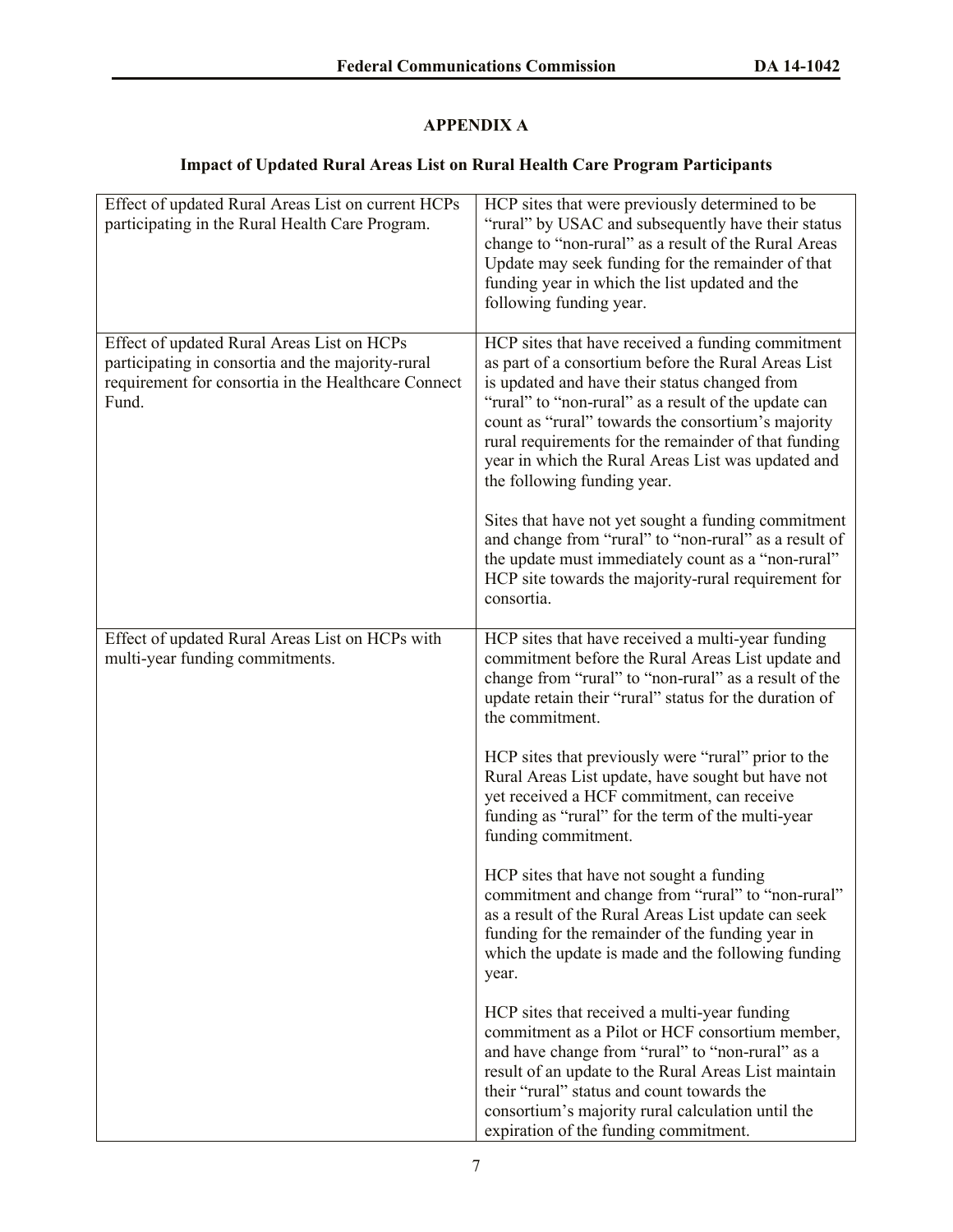# **APPENDIX A**

# **Impact of Updated Rural Areas List on Rural Health Care Program Participants**

| Effect of updated Rural Areas List on current HCPs<br>participating in the Rural Health Care Program.                                                           | HCP sites that were previously determined to be<br>"rural" by USAC and subsequently have their status<br>change to "non-rural" as a result of the Rural Areas<br>Update may seek funding for the remainder of that<br>funding year in which the list updated and the<br>following funding year.                                                                                                                      |
|-----------------------------------------------------------------------------------------------------------------------------------------------------------------|----------------------------------------------------------------------------------------------------------------------------------------------------------------------------------------------------------------------------------------------------------------------------------------------------------------------------------------------------------------------------------------------------------------------|
| Effect of updated Rural Areas List on HCPs<br>participating in consortia and the majority-rural<br>requirement for consortia in the Healthcare Connect<br>Fund. | HCP sites that have received a funding commitment<br>as part of a consortium before the Rural Areas List<br>is updated and have their status changed from<br>"rural" to "non-rural" as a result of the update can<br>count as "rural" towards the consortium's majority<br>rural requirements for the remainder of that funding<br>year in which the Rural Areas List was updated and<br>the following funding year. |
|                                                                                                                                                                 | Sites that have not yet sought a funding commitment<br>and change from "rural" to "non-rural" as a result of<br>the update must immediately count as a "non-rural"<br>HCP site towards the majority-rural requirement for<br>consortia.                                                                                                                                                                              |
| Effect of updated Rural Areas List on HCPs with<br>multi-year funding commitments.                                                                              | HCP sites that have received a multi-year funding<br>commitment before the Rural Areas List update and<br>change from "rural" to "non-rural" as a result of the<br>update retain their "rural" status for the duration of<br>the commitment.                                                                                                                                                                         |
|                                                                                                                                                                 | HCP sites that previously were "rural" prior to the<br>Rural Areas List update, have sought but have not<br>yet received a HCF commitment, can receive<br>funding as "rural" for the term of the multi-year<br>funding commitment.                                                                                                                                                                                   |
|                                                                                                                                                                 | HCP sites that have not sought a funding<br>commitment and change from "rural" to "non-rural"<br>as a result of the Rural Areas List update can seek<br>funding for the remainder of the funding year in<br>which the update is made and the following funding<br>year.                                                                                                                                              |
|                                                                                                                                                                 | HCP sites that received a multi-year funding<br>commitment as a Pilot or HCF consortium member,<br>and have change from "rural" to "non-rural" as a<br>result of an update to the Rural Areas List maintain<br>their "rural" status and count towards the<br>consortium's majority rural calculation until the<br>expiration of the funding commitment.                                                              |